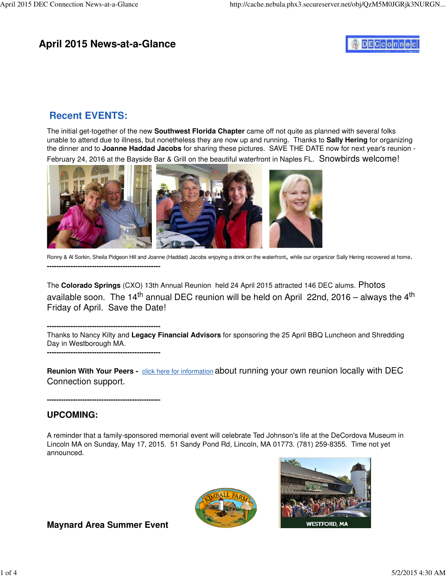## **April 2015 News-at-a-Glance**

# **DECconnec**

## **Recent EVENTS:**

The initial get-together of the new **Southwest Florida Chapter** came off not quite as planned with several folks unable to attend due to illness, but nonetheless they are now up and running. Thanks to **Sally Hering** for organizing the dinner and to **Joanne Haddad Jacobs** for sharing these pictures. SAVE THE DATE now for next year's reunion - February 24, 2016 at the Bayside Bar & Grill on the beautiful waterfront in Naples FL. Snowbirds welcome!



Ronny & Al Sorkin, Sheila Pidgeon Hill and Joanne (Haddad) Jacobs enjoying a drink on the waterfront, while our organizer Sally Hering recovered at home. **------------------------------------------------**

The **Colorado Springs** (CXO) 13th Annual Reunion held 24 April 2015 attracted 146 DEC alums. Photos available soon. The 14<sup>th</sup> annual DEC reunion will be held on April 22nd, 2016 – always the 4<sup>th</sup> Friday of April. Save the Date!

**------------------------------------------------** Thanks to Nancy Kilty and **Legacy Financial Advisors** for sponsoring the 25 April BBQ Luncheon and Shredding Day in Westborough MA.

**Reunion With Your Peers -** click here for information about running your own reunion locally with DEC Connection support.

**------------------------------------------------**

**------------------------------------------------**

### **UPCOMING:**

A reminder that a family-sponsored memorial event will celebrate Ted Johnson's life at the DeCordova Museum in Lincoln MA on Sunday, May 17, 2015. 51 Sandy Pond Rd, Lincoln, MA 01773. (781) 259-8355. Time not yet announced.





## **Maynard Area Summer Event**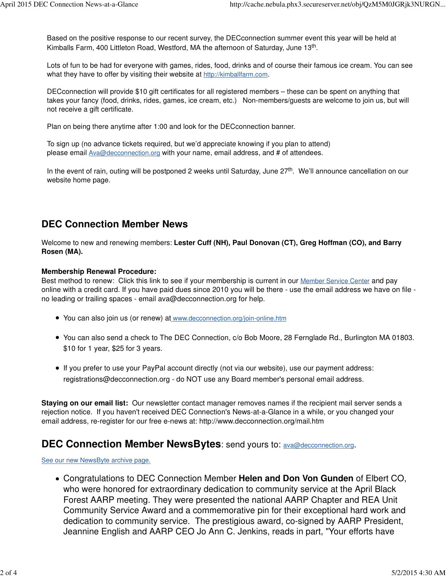Based on the positive response to our recent survey, the DECconnection summer event this year will be held at Kimballs Farm, 400 Littleton Road, Westford, MA the afternoon of Saturday, June 13<sup>th</sup>.

Lots of fun to be had for everyone with games, rides, food, drinks and of course their famous ice cream. You can see what they have to offer by visiting their website at <http://kimballfarm.com>.

DECconnection will provide \$10 gift certificates for all registered members – these can be spent on anything that takes your fancy (food, drinks, rides, games, ice cream, etc.) Non-members/guests are welcome to join us, but will not receive a gift certificate.

Plan on being there anytime after 1:00 and look for the DECconnection banner.

To sign up (no advance tickets required, but we'd appreciate knowing if you plan to attend) please email **[Ava@decconnection.org](mailto:Ava@decconnection.org)** with your name, email address, and # of attendees.

In the event of rain, outing will be postponed 2 weeks until Saturday, June 27<sup>th</sup>. We'll announce cancellation on our website home page.

## **DEC Connection Member News**

Welcome to new and renewing members: **Lester Cuff (NH), Paul Donovan (CT), Greg Hoffman (CO), and Barry Rosen (MA).**

#### **Membership Renewal Procedure:**

Best method to renew: Click this link to see if your membership is current in our Member Service Center and pay online with a credit card. If you have paid dues since 2010 you will be there - use the email address we have on file no leading or trailing spaces - email [ava@decconnection.org fo](mailto:ava@decconnection.org)r help.

- You can also join us (or renew) at [www.decconnection.org/join-online.htm](http://www.decconnection.org/join-online.htm)
- You can also send a check to The DEC Connection, c/o Bob Moore, 28 Fernglade Rd., Burlington MA 01803. \$10 for 1 year, \$25 for 3 years.
- If you prefer to use your PayPal account directly (not via our website), use our payment address: [registrations@decconnection.org - d](mailto:registrations@decconnection.org)o NOT use any Board member's personal email address.

**Staying on our email list:** Our newsletter contact manager removes names if the recipient mail server sends a rejection notice. If you haven't received DEC Connection's News-at-a-Glance in a while, or you changed your email address, re-register for our free e-news at: <http://www.decconnection.org/mail.htm>

## **DEC Connection Member NewsBytes:** send yours to: [ava@decconnection.org](mailto:ava@decconnection.org).

See our new NewsByte archive page.

Congratulations to DEC Connection Member **Helen and Don Von Gunden** of Elbert CO, who were honored for extraordinary dedication to community service at the April Black Forest AARP meeting. They were presented the national AARP Chapter and REA Unit Community Service Award and a commemorative pin for their exceptional hard work and dedication to community service. The prestigious award, co-signed by AARP President, Jeannine English and AARP CEO Jo Ann C. Jenkins, reads in part, "Your efforts have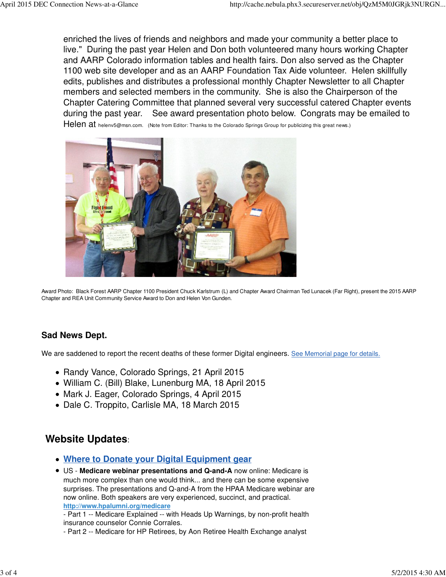enriched the lives of friends and neighbors and made your community a better place to live." During the past year Helen and Don both volunteered many hours working Chapter and AARP Colorado information tables and health fairs. Don also served as the Chapter 1100 web site developer and as an AARP Foundation Tax Aide volunteer. Helen skillfully edits, publishes and distributes a professional monthly Chapter Newsletter to all Chapter members and selected members in the community. She is also the Chairperson of the Chapter Catering Committee that planned several very successful catered Chapter events during the past year. See award presentation photo below. Congrats may be emailed to Helen at [helenv5@msn.com.](mailto:helenv5@msn.com) (Note from Editor: Thanks to the Colorado Springs Group for publicizing this great news.)



Award Photo: Black Forest AARP Chapter 1100 President Chuck Karlstrum (L) and Chapter Award Chairman Ted Lunacek (Far Right), present the 2015 AARP Chapter and REA Unit Community Service Award to Don and Helen Von Gunden.

### **Sad News Dept.**

We are saddened to report the recent deaths of these former Digital engineers. See Memorial page for details.

- Randy Vance, Colorado Springs, 21 April 2015
- William C. (Bill) Blake, Lunenburg MA, 18 April 2015
- Mark J. Eager, Colorado Springs, 4 April 2015
- Dale C. Troppito, Carlisle MA, 18 March 2015

## **Website Updates**:

- **Where to Donate your Digital Equipment gear**
- US - **Medicare webinar presentations and Q-and-A** now online: Medicare is much more complex than one would think... and there can be some expensive surprises. The presentations and Q-and-A from the HPAA Medicare webinar are now online. Both speakers are very experienced, succinct, and practical. **<http://www.hpalumni.org/medicare>**

- Part 1 -- Medicare Explained -- with Heads Up Warnings, by non-profit health insurance counselor Connie Corrales.

- Part 2 -- Medicare for HP Retirees, by Aon Retiree Health Exchange analyst